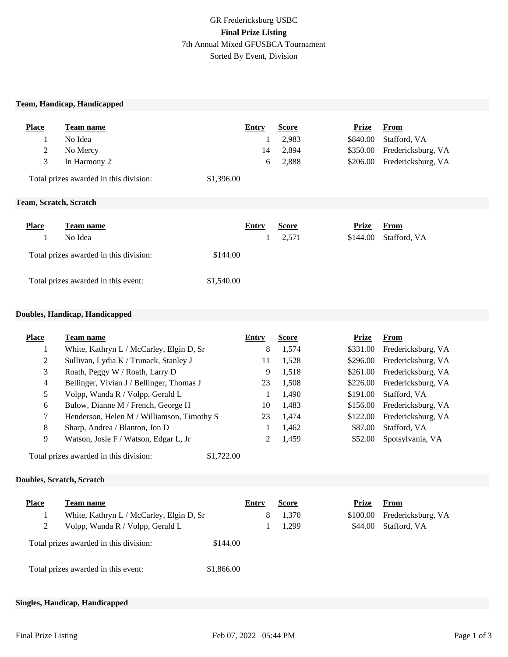#### **Team, Handicap, Handicapped**

| <b>Place</b> | Team name                              | Entry      | <b>Score</b> | Prize    | <b>From</b>                 |  |
|--------------|----------------------------------------|------------|--------------|----------|-----------------------------|--|
|              | No Idea                                |            | 2,983        | \$840.00 | Stafford, VA                |  |
| 2            | No Mercy                               | 14         | 2,894        |          | \$350.00 Fredericksburg, VA |  |
| 3            | In Harmony 2                           | 6          | 2,888        |          | \$206.00 Fredericksburg, VA |  |
|              | Total prizes awarded in this division: | \$1,396.00 |              |          |                             |  |
|              |                                        |            |              |          |                             |  |

#### **Team, Scratch, Scratch**

| <b>Place</b> | Team name                              |            | Entry | <b>Score</b> | <b>Prize</b> | From         |
|--------------|----------------------------------------|------------|-------|--------------|--------------|--------------|
|              | No Idea                                |            |       | 2,571        | \$144.00     | Stafford, VA |
|              | Total prizes awarded in this division: | \$144.00   |       |              |              |              |
|              | Total prizes awarded in this event:    | \$1,540.00 |       |              |              |              |

#### **Doubles, Handicap, Handicapped**

| <b>Place</b>                                         | <b>Team name</b>                           | Entry | <b>Score</b> | <b>Prize</b> | From               |
|------------------------------------------------------|--------------------------------------------|-------|--------------|--------------|--------------------|
|                                                      | White, Kathryn L / McCarley, Elgin D, Sr   | 8     | 1,574        | \$331.00     | Fredericksburg, VA |
| 2                                                    | Sullivan, Lydia K / Trunack, Stanley J     | 11    | 1,528        | \$296.00     | Fredericksburg, VA |
| 3                                                    | Roath, Peggy W / Roath, Larry D            | 9     | 1,518        | \$261.00     | Fredericksburg, VA |
| 4                                                    | Bellinger, Vivian J / Bellinger, Thomas J  | 23    | 1,508        | \$226.00     | Fredericksburg, VA |
| 5                                                    | Volpp, Wanda R / Volpp, Gerald L           |       | 1,490        | \$191.00     | Stafford, VA       |
| 6                                                    | Bulow, Dianne M / French, George H         | 10    | 1,483        | \$156.00     | Fredericksburg, VA |
| $\tau$                                               | Henderson, Helen M / Williamson, Timothy S | 23    | 1,474        | \$122.00     | Fredericksburg, VA |
| 8                                                    | Sharp, Andrea / Blanton, Jon D             |       | 1,462        | \$87.00      | Stafford, VA       |
| 9                                                    | Watson, Josie F / Watson, Edgar L, Jr      |       | 1,459        | \$52.00      | Spotsylvania, VA   |
| Total prizes awarded in this division:<br>\$1,722.00 |                                            |       |              |              |                    |

## **Doubles, Scratch, Scratch**

| <b>Place</b> | Team name                                |            | Entry | <b>Score</b> | Prize    | From               |
|--------------|------------------------------------------|------------|-------|--------------|----------|--------------------|
|              | White, Kathryn L / McCarley, Elgin D, Sr |            | 8     | 1,370        | \$100.00 | Fredericksburg, VA |
| 2            | Volpp, Wanda R / Volpp, Gerald L         |            |       | 1,299        | \$44.00  | Stafford, VA       |
|              | Total prizes awarded in this division:   | \$144.00   |       |              |          |                    |
|              | Total prizes awarded in this event:      | \$1,866.00 |       |              |          |                    |

**Place Team name Entry Score Prize From**

### **Singles, Handicap, Handicapped**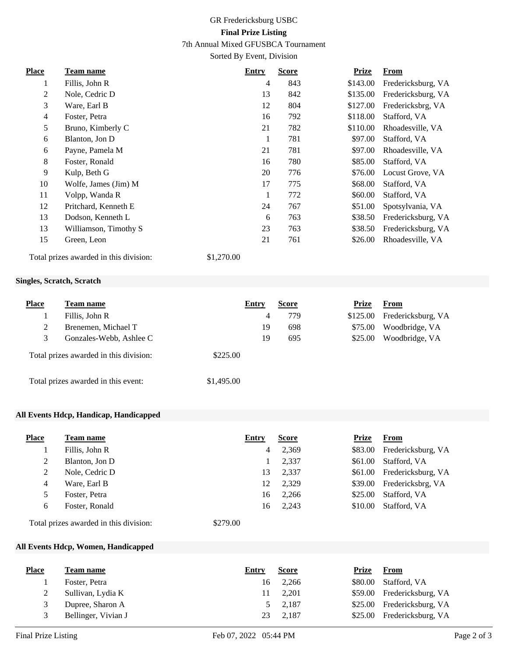## GR Fredericksburg USBC **Final Prize Listing**

7th Annual Mixed GFUSBCA Tournament

Sorted By Event, Division

| <b>Place</b>   | Team name             | <b>Entry</b> | <b>Score</b> | <b>Prize</b> | <b>From</b>        |
|----------------|-----------------------|--------------|--------------|--------------|--------------------|
| 1              | Fillis, John R        | 4            | 843          | \$143.00     | Fredericksburg, VA |
| 2              | Nole, Cedric D        | 13           | 842          | \$135.00     | Fredericksburg, VA |
| 3              | Ware, Earl B          | 12           | 804          | \$127.00     | Fredericksbrg, VA  |
| $\overline{4}$ | Foster, Petra         | 16           | 792          | \$118.00     | Stafford, VA       |
| 5              | Bruno, Kimberly C     | 21           | 782          | \$110.00     | Rhoadesville, VA   |
| 6              | Blanton, Jon D        | $\mathbf{1}$ | 781          | \$97.00      | Stafford, VA       |
| 6              | Payne, Pamela M       | 21           | 781          | \$97.00      | Rhoadesville, VA   |
| 8              | Foster, Ronald        | 16           | 780          | \$85.00      | Stafford, VA       |
| 9              | Kulp, Beth G          | 20           | 776          | \$76.00      | Locust Grove, VA   |
| 10             | Wolfe, James (Jim) M  | 17           | 775          | \$68.00      | Stafford, VA       |
| 11             | Volpp, Wanda R        | 1            | 772          | \$60.00      | Stafford, VA       |
| 12             | Pritchard, Kenneth E  | 24           | 767          | \$51.00      | Spotsylvania, VA   |
| 13             | Dodson, Kenneth L     | 6            | 763          | \$38.50      | Fredericksburg, VA |
| 13             | Williamson, Timothy S | 23           | 763          | \$38.50      | Fredericksburg, VA |
| 15             | Green, Leon           | 21           | 761          | \$26.00      | Rhoadesville, VA   |
|                |                       |              |              |              |                    |

Total prizes awarded in this division: \$1,270.00

#### **Singles, Scratch, Scratch**

| <b>Place</b> | Team name                              | Entry      | <b>Score</b> | <b>Prize</b> | <b>From</b>        |
|--------------|----------------------------------------|------------|--------------|--------------|--------------------|
|              | Fillis, John R                         | 4          | 779          | \$125.00     | Fredericksburg, VA |
|              | Brenemen, Michael T                    | 19         | 698          | \$75.00      | Woodbridge, VA     |
|              | Gonzales-Webb, Ashlee C                | 19         | 695          | \$25.00      | Woodbridge, VA     |
|              | Total prizes awarded in this division: | \$225.00   |              |              |                    |
|              | Total prizes awarded in this event:    | \$1,495.00 |              |              |                    |

#### **All Events Hdcp, Handicap, Handicapped**

| <b>Place</b> | Team name      | Entry   | <b>Score</b> | <b>Prize</b> | <b>From</b>        |
|--------------|----------------|---------|--------------|--------------|--------------------|
|              | Fillis, John R | 4       | 2,369        | \$83.00      | Fredericksburg, VA |
| 2            | Blanton, Jon D |         | 2,337        | \$61.00      | Stafford, VA       |
| 2            | Nole, Cedric D | 13      | 2,337        | \$61.00      | Fredericksburg, VA |
| 4            | Ware, Earl B   | 12      | 2,329        | \$39.00      | Fredericksbrg, VA  |
| 5            | Foster, Petra  | 16      | 2,266        | \$25.00      | Stafford, VA       |
| 6            | Foster, Ronald | 16      | 2,243        | \$10.00      | Stafford, VA       |
| <del>.</del> |                | 0.25000 |              |              |                    |

Total prizes awarded in this division: \$279.00

## **All Events Hdcp, Women, Handicapped**

| <b>Place</b> | Team name           | Entry | <b>Score</b> | Prize   | <b>From</b>                |
|--------------|---------------------|-------|--------------|---------|----------------------------|
|              | Foster, Petra       | 16    | 2,266        | \$80.00 | Stafford, VA               |
|              | Sullivan, Lydia K   | 11    | 2.201        |         | \$59.00 Fredericksburg, VA |
|              | Dupree, Sharon A    |       | 5 2,187      |         | \$25.00 Fredericksburg, VA |
|              | Bellinger, Vivian J | 23    | 2,187        |         | \$25.00 Fredericksburg, VA |